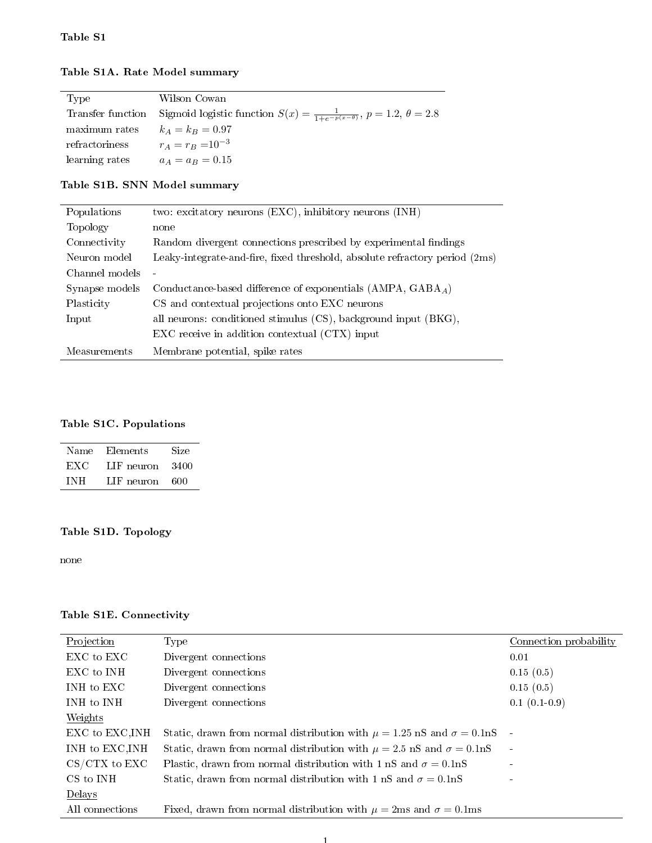### Table S1A. Rate Model summary

| Type              | Wilson Cowan                                                                           |
|-------------------|----------------------------------------------------------------------------------------|
| Transfer function | Sigmoid logistic function $S(x) = \frac{1}{1+e^{-p(x-\theta)}}, p = 1.2, \theta = 2.8$ |
| maximum rates     | $k_A = k_B = 0.97$                                                                     |
| refractoriness    | $r_A = r_B = 10^{-3}$                                                                  |
| learning rates    | $a_A = a_B = 0.15$                                                                     |

### Table S1B. SNN Model summary

| Populations    | two: excitatory neurons (EXC), inhibitory neurons (INH)                     |
|----------------|-----------------------------------------------------------------------------|
| Topology       | none                                                                        |
| Connectivity   | Random divergent connections prescribed by experimental findings            |
| Neuron model   | Leaky-integrate-and-fire, fixed threshold, absolute refractory period (2ms) |
| Channel models |                                                                             |
| Synapse models | Conductance-based difference of exponentials (AMPA, $GABA_A$ )              |
| Plasticity     | CS and contextual projections onto EXC neurons                              |
| Input          | all neurons: conditioned stimulus $(CS)$ , background input $(BKG)$ ,       |
|                | EXC receive in addition contextual (CTX) input                              |
| Measurements   | Membrane potential, spike rates                                             |

# Table S1C. Populations

| Name       | – Elements | Size |
|------------|------------|------|
| EXC        | LIF neuron | 3400 |
| <b>INH</b> | LIF neuron | 600  |
|            |            |      |

#### Table S1D. Topology

none

# Table S1E. Connectivity

| Projection                | Type                                                                              | Connection probability |
|---------------------------|-----------------------------------------------------------------------------------|------------------------|
| EXC to EXC                | Divergent connections                                                             | 0.01                   |
| EXC to INH                | Divergent connections                                                             | 0.15(0.5)              |
| INH to EXC                | Divergent connections                                                             | 0.15(0.5)              |
| INH to INH                | Divergent connections                                                             | $0.1(0.1-0.9)$         |
| Weights                   |                                                                                   |                        |
| EXC to EXC, INH           | Static, drawn from normal distribution with $\mu = 1.25$ nS and $\sigma = 0.1$ nS | $\sim$                 |
| INH to EXC, INH           | Static, drawn from normal distribution with $\mu = 2.5$ nS and $\sigma = 0.1$ nS  | $\equiv$               |
| $\rm CS/CTX$ to $\rm EXC$ | Plastic, drawn from normal distribution with 1 nS and $\sigma = 0.1$ nS           | $\blacksquare$         |
| CS to INH                 | Static, drawn from normal distribution with 1 nS and $\sigma = 0.1$ nS            |                        |
| Delays                    |                                                                                   |                        |
| All connections           | Fixed, drawn from normal distribution with $\mu = 2$ ms and $\sigma = 0.1$ ms     |                        |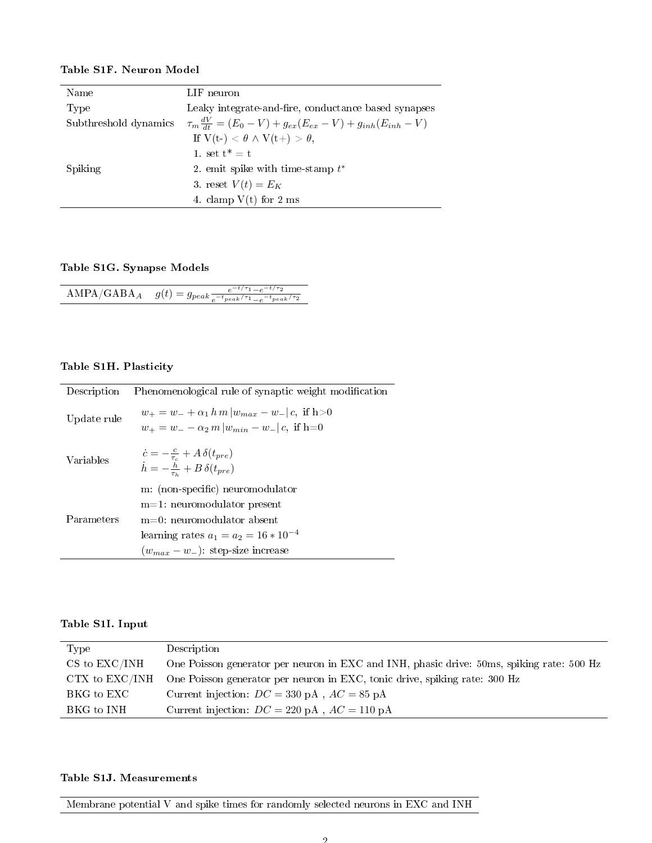### Table S1F. Neuron Model

| Name                  | LIF neuron                                                                     |
|-----------------------|--------------------------------------------------------------------------------|
| Type                  | Leaky integrate-and-fire, conductance based synapses                           |
| Subthreshold dynamics | $\tau_m \frac{dV}{dt} = (E_0 - V) + g_{ex}(E_{ex} - V) + g_{inh}(E_{inh} - V)$ |
|                       | If $V(t-) < \theta \wedge V(t+) > \theta$ ,                                    |
|                       | 1. set $t^* = t$                                                               |
| Spiking               | 2. emit spike with time-stamp $t^*$                                            |
|                       | 3. reset $V(t) = E_K$                                                          |
|                       | 4. clamp $V(t)$ for 2 ms                                                       |

### Table S1G. Synapse Models

| $q(t) =$<br>$t_1/\tau_1 = -t_{max}$<br>$K = +$ |
|------------------------------------------------|
|                                                |

# Table S1H. Plasticity

| Description | Phenomenological rule of synaptic weight modification                                                                          |
|-------------|--------------------------------------------------------------------------------------------------------------------------------|
| Update rule | $w_+ = w_- + \alpha_1 h m \,  w_{max} - w_-  c$ , if h > 0<br>$w_+ = w_- - \alpha_2 m \left  w_{min} - w_- \right  c$ , if h=0 |
| Variables   | $\dot{c} = -\frac{c}{\tau_c} + A \,\delta(t_{pre})$<br>$\dot{h} = -\frac{h}{\tau_b} + B \,\delta(t_{pre})$                     |
|             | m: (non-specific) neuromodulator                                                                                               |
|             | $m=1$ : neuromodulator present                                                                                                 |
| Parameters  | $m=0$ : neuromodulator absent                                                                                                  |
|             | learning rates $a_1 = a_2 = 16 * 10^{-4}$                                                                                      |
|             | $(w_{max} - w_{-})$ : step-size increase                                                                                       |

### Table S1I. Input

| Type           | Description                                                                               |
|----------------|-------------------------------------------------------------------------------------------|
| CS to EXC/INH  | One Poisson generator per neuron in EXC and INH, phasic drive: 50ms, spiking rate: 500 Hz |
| CTX to EXC/INH | One Poisson generator per neuron in EXC, tonic drive, spiking rate: 300 Hz                |
| BKG to EXC     | Current injection: $DC = 330 \text{ pA}$ , $AC = 85 \text{ pA}$                           |
| BKG to INH     | Current injection: $DC = 220 \text{ pA}$ , $AC = 110 \text{ pA}$                          |

#### Table S1J. Measurements

Membrane potential V and spike times for randomly selected neurons in EXC and INH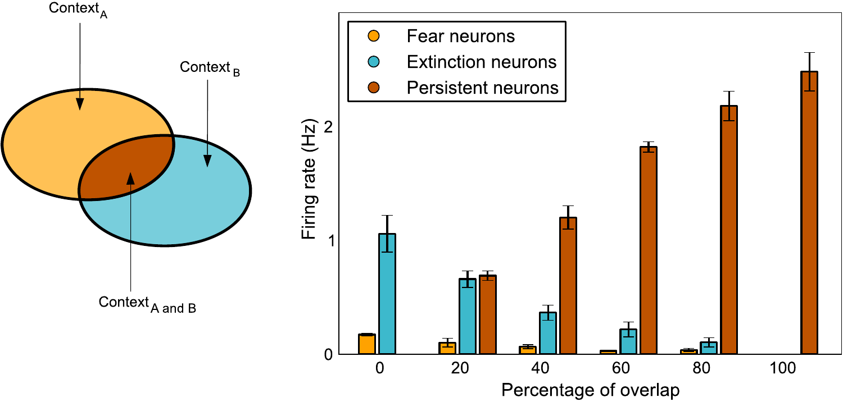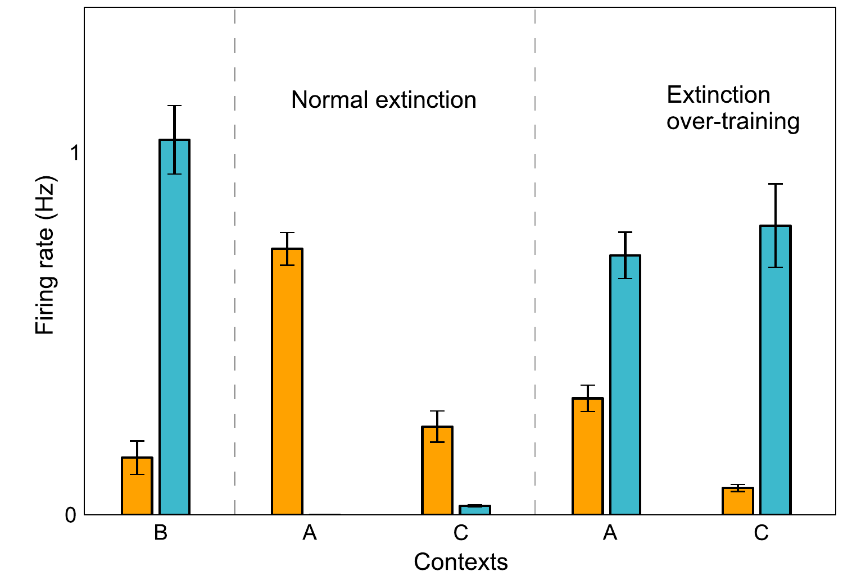